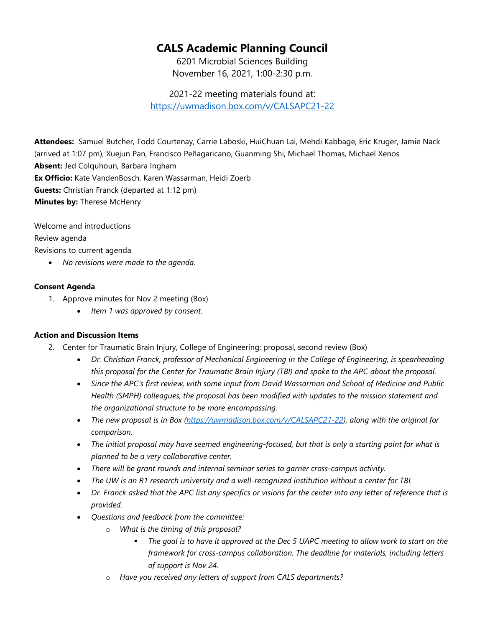## **CALS Academic Planning Council**

6201 Microbial Sciences Building November 16, 2021, 1:00-2:30 p.m.

2021-22 meeting materials found at: <https://uwmadison.box.com/v/CALSAPC21-22>

**Attendees:** Samuel Butcher, Todd Courtenay, Carrie Laboski, HuiChuan Lai, Mehdi Kabbage, Eric Kruger, Jamie Nack (arrived at 1:07 pm), Xuejun Pan, Francisco Peñagaricano, Guanming Shi, Michael Thomas, Michael Xenos **Absent:** Jed Colquhoun, Barbara Ingham **Ex Officio:** Kate VandenBosch, Karen Wassarman, Heidi Zoerb **Guests:** Christian Franck (departed at 1:12 pm) **Minutes by:** Therese McHenry

Welcome and introductions Review agenda Revisions to current agenda

• *No revisions were made to the agenda.*

## **Consent Agenda**

- 1. Approve minutes for Nov 2 meeting (Box)
	- *Item 1 was approved by consent.*

## **Action and Discussion Items**

- 2. Center for Traumatic Brain Injury, College of Engineering: proposal, second review (Box)
	- *Dr. Christian Franck, professor of Mechanical Engineering in the College of Engineering, is spearheading this proposal for the Center for Traumatic Brain Injury (TBI) and spoke to the APC about the proposal.*
	- *Since the APC's first review, with some input from David Wassarman and School of Medicine and Public Health (SMPH) colleagues, the proposal has been modified with updates to the mission statement and the organizational structure to be more encompassing.*
	- *The new proposal is in Box [\(https://uwmadison.box.com/v/CALSAPC21-22\)](https://uwmadison.box.com/v/CALSAPC21-22), along with the original for comparison.*
	- *The initial proposal may have seemed engineering-focused, but that is only a starting point for what is planned to be a very collaborative center.*
	- *There will be grant rounds and internal seminar series to garner cross-campus activity.*
	- *The UW is an R1 research university and a well-recognized institution without a center for TBI.*
	- *Dr. Franck asked that the APC list any specifics or visions for the center into any letter of reference that is provided.*
	- *Questions and feedback from the committee:*
		- o *What is the timing of this proposal?*
			- *The goal is to have it approved at the Dec 5 UAPC meeting to allow work to start on the framework for cross-campus collaboration. The deadline for materials, including letters of support is Nov 24.*
		- o *Have you received any letters of support from CALS departments?*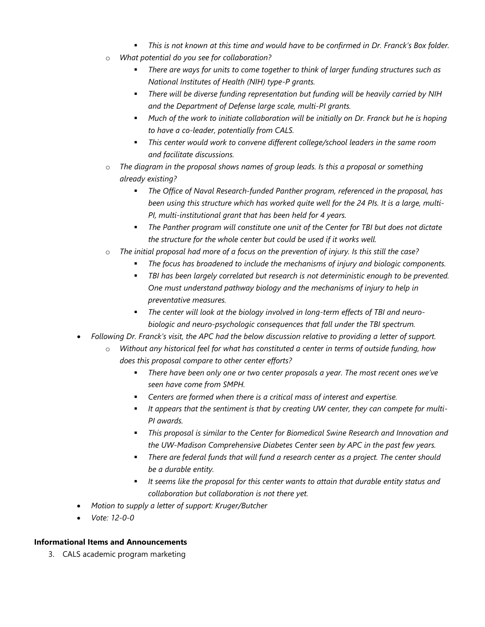- *This is not known at this time and would have to be confirmed in Dr. Franck's Box folder.*
- o *What potential do you see for collaboration?*
	- *There are ways for units to come together to think of larger funding structures such as National Institutes of Health (NIH) type-P grants.*
	- *There will be diverse funding representation but funding will be heavily carried by NIH and the Department of Defense large scale, multi-PI grants.*
	- **•** Much of the work to initiate collaboration will be initially on Dr. Franck but he is hoping *to have a co-leader, potentially from CALS.*
	- *This center would work to convene different college/school leaders in the same room and facilitate discussions.*
- o *The diagram in the proposal shows names of group leads. Is this a proposal or something already existing?*
	- *The Office of Naval Research-funded Panther program, referenced in the proposal, has been using this structure which has worked quite well for the 24 PIs. It is a large, multi-PI, multi-institutional grant that has been held for 4 years.*
	- *The Panther program will constitute one unit of the Center for TBI but does not dictate the structure for the whole center but could be used if it works well.*
- o *The initial proposal had more of a focus on the prevention of injury. Is this still the case?*
	- *The focus has broadened to include the mechanisms of injury and biologic components.*
	- **FBI** has been largely correlated but research is not deterministic enough to be prevented. *One must understand pathway biology and the mechanisms of injury to help in preventative measures.*
	- *The center will look at the biology involved in long-term effects of TBI and neurobiologic and neuro-psychologic consequences that fall under the TBI spectrum.*
- *Following Dr. Franck's visit, the APC had the below discussion relative to providing a letter of support.*
	- Without any historical feel for what has constituted a center in terms of outside funding, how *does this proposal compare to other center efforts?*
		- *There have been only one or two center proposals a year. The most recent ones we've seen have come from SMPH.*
		- *Centers are formed when there is a critical mass of interest and expertise.*
		- *It appears that the sentiment is that by creating UW center, they can compete for multi-PI awards.*
		- *This proposal is similar to the Center for Biomedical Swine Research and Innovation and the UW-Madison Comprehensive Diabetes Center seen by APC in the past few years.*
		- *There are federal funds that will fund a research center as a project. The center should be a durable entity.*
		- *It seems like the proposal for this center wants to attain that durable entity status and collaboration but collaboration is not there yet.*
- *Motion to supply a letter of support: Kruger/Butcher*
- *Vote: 12-0-0*

## **Informational Items and Announcements**

3. CALS academic program marketing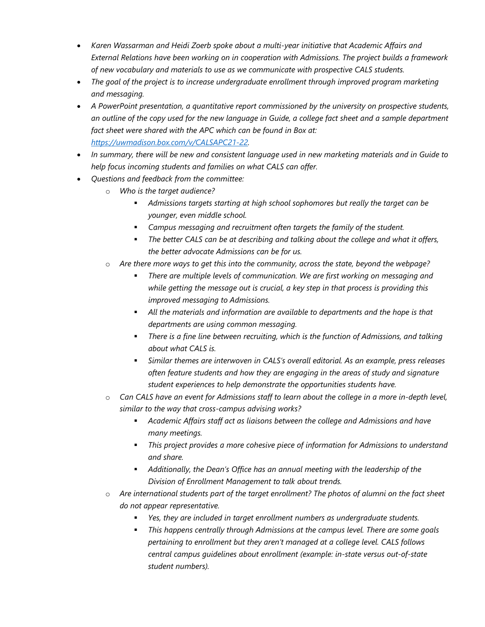- *Karen Wassarman and Heidi Zoerb spoke about a multi-year initiative that Academic Affairs and External Relations have been working on in cooperation with Admissions. The project builds a framework of new vocabulary and materials to use as we communicate with prospective CALS students.*
- *The goal of the project is to increase undergraduate enrollment through improved program marketing and messaging.*
- *A PowerPoint presentation, a quantitative report commissioned by the university on prospective students, an outline of the copy used for the new language in Guide, a college fact sheet and a sample department fact sheet were shared with the APC which can be found in Box at: [https://uwmadison.box.com/v/CALSAPC21-22.](https://uwmadison.box.com/v/CALSAPC21-22)*
- *In summary, there will be new and consistent language used in new marketing materials and in Guide to help focus incoming students and families on what CALS can offer.*
- *Questions and feedback from the committee:*
	- o *Who is the target audience?*
		- *Admissions targets starting at high school sophomores but really the target can be younger, even middle school.*
		- *Campus messaging and recruitment often targets the family of the student.*
		- *The better CALS can be at describing and talking about the college and what it offers, the better advocate Admissions can be for us.*
	- o *Are there more ways to get this into the community, across the state, beyond the webpage?*
		- *There are multiple levels of communication. We are first working on messaging and while getting the message out is crucial, a key step in that process is providing this improved messaging to Admissions.*
		- *All the materials and information are available to departments and the hope is that departments are using common messaging.*
		- **There is a fine line between recruiting, which is the function of Admissions, and talking** *about what CALS is.*
		- *Similar themes are interwoven in CALS's overall editorial. As an example, press releases often feature students and how they are engaging in the areas of study and signature student experiences to help demonstrate the opportunities students have.*
	- o *Can CALS have an event for Admissions staff to learn about the college in a more in-depth level, similar to the way that cross-campus advising works?*
		- *Academic Affairs staff act as liaisons between the college and Admissions and have many meetings.*
		- *This project provides a more cohesive piece of information for Admissions to understand and share.*
		- *Additionally, the Dean's Office has an annual meeting with the leadership of the Division of Enrollment Management to talk about trends.*
	- o *Are international students part of the target enrollment? The photos of alumni on the fact sheet do not appear representative.*
		- *Yes, they are included in target enrollment numbers as undergraduate students.*
		- *This happens centrally through Admissions at the campus level. There are some goals pertaining to enrollment but they aren't managed at a college level. CALS follows central campus guidelines about enrollment (example: in-state versus out-of-state student numbers).*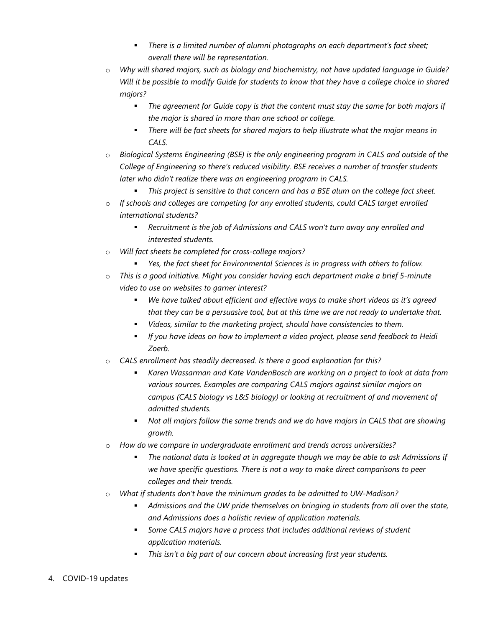- *There is a limited number of alumni photographs on each department's fact sheet; overall there will be representation.*
- o *Why will shared majors, such as biology and biochemistry, not have updated language in Guide? Will it be possible to modify Guide for students to know that they have a college choice in shared majors?*
	- *The agreement for Guide copy is that the content must stay the same for both majors if the major is shared in more than one school or college.*
	- *There will be fact sheets for shared majors to help illustrate what the major means in CALS.*
- o *Biological Systems Engineering (BSE) is the only engineering program in CALS and outside of the College of Engineering so there's reduced visibility. BSE receives a number of transfer students later who didn't realize there was an engineering program in CALS.*
	- *This project is sensitive to that concern and has a BSE alum on the college fact sheet.*
- o *If schools and colleges are competing for any enrolled students, could CALS target enrolled international students?*
	- *Recruitment is the job of Admissions and CALS won't turn away any enrolled and interested students.*
- o *Will fact sheets be completed for cross-college majors?*
	- *Yes, the fact sheet for Environmental Sciences is in progress with others to follow.*
- o *This is a good initiative. Might you consider having each department make a brief 5-minute video to use on websites to garner interest?*
	- *We have talked about efficient and effective ways to make short videos as it's agreed that they can be a persuasive tool, but at this time we are not ready to undertake that.*
	- *Videos, similar to the marketing project, should have consistencies to them.*
	- *If you have ideas on how to implement a video project, please send feedback to Heidi Zoerb.*
- o *CALS enrollment has steadily decreased. Is there a good explanation for this?*
	- *Karen Wassarman and Kate VandenBosch are working on a project to look at data from various sources. Examples are comparing CALS majors against similar majors on campus (CALS biology vs L&S biology) or looking at recruitment of and movement of admitted students.*
	- *Not all majors follow the same trends and we do have majors in CALS that are showing growth.*
- o *How do we compare in undergraduate enrollment and trends across universities?*
	- *The national data is looked at in aggregate though we may be able to ask Admissions if we have specific questions. There is not a way to make direct comparisons to peer colleges and their trends.*
- o *What if students don't have the minimum grades to be admitted to UW-Madison?*
	- *Admissions and the UW pride themselves on bringing in students from all over the state, and Admissions does a holistic review of application materials.*
	- *Some CALS majors have a process that includes additional reviews of student application materials.*
	- *This isn't a big part of our concern about increasing first year students.*
- 4. COVID-19 updates